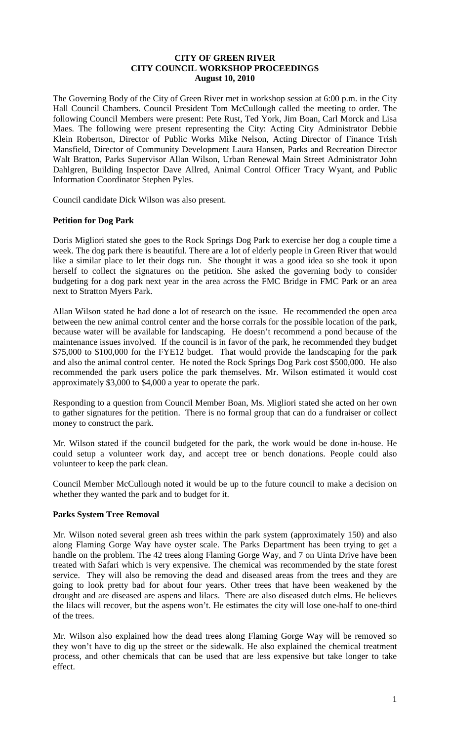#### **CITY OF GREEN RIVER CITY COUNCIL WORKSHOP PROCEEDINGS August 10, 2010**

The Governing Body of the City of Green River met in workshop session at 6:00 p.m. in the City Hall Council Chambers. Council President Tom McCullough called the meeting to order. The following Council Members were present: Pete Rust, Ted York, Jim Boan, Carl Morck and Lisa Maes. The following were present representing the City: Acting City Administrator Debbie Klein Robertson, Director of Public Works Mike Nelson, Acting Director of Finance Trish Mansfield, Director of Community Development Laura Hansen, Parks and Recreation Director Walt Bratton, Parks Supervisor Allan Wilson, Urban Renewal Main Street Administrator John Dahlgren, Building Inspector Dave Allred, Animal Control Officer Tracy Wyant, and Public Information Coordinator Stephen Pyles.

Council candidate Dick Wilson was also present.

### **Petition for Dog Park**

Doris Migliori stated she goes to the Rock Springs Dog Park to exercise her dog a couple time a week. The dog park there is beautiful. There are a lot of elderly people in Green River that would like a similar place to let their dogs run. She thought it was a good idea so she took it upon herself to collect the signatures on the petition. She asked the governing body to consider budgeting for a dog park next year in the area across the FMC Bridge in FMC Park or an area next to Stratton Myers Park.

Allan Wilson stated he had done a lot of research on the issue. He recommended the open area between the new animal control center and the horse corrals for the possible location of the park, because water will be available for landscaping. He doesn't recommend a pond because of the maintenance issues involved. If the council is in favor of the park, he recommended they budget \$75,000 to \$100,000 for the FYE12 budget. That would provide the landscaping for the park and also the animal control center. He noted the Rock Springs Dog Park cost \$500,000. He also recommended the park users police the park themselves. Mr. Wilson estimated it would cost approximately \$3,000 to \$4,000 a year to operate the park.

Responding to a question from Council Member Boan, Ms. Migliori stated she acted on her own to gather signatures for the petition. There is no formal group that can do a fundraiser or collect money to construct the park.

Mr. Wilson stated if the council budgeted for the park, the work would be done in-house. He could setup a volunteer work day, and accept tree or bench donations. People could also volunteer to keep the park clean.

Council Member McCullough noted it would be up to the future council to make a decision on whether they wanted the park and to budget for it.

# **Parks System Tree Removal**

Mr. Wilson noted several green ash trees within the park system (approximately 150) and also along Flaming Gorge Way have oyster scale. The Parks Department has been trying to get a handle on the problem. The 42 trees along Flaming Gorge Way, and 7 on Uinta Drive have been treated with Safari which is very expensive. The chemical was recommended by the state forest service. They will also be removing the dead and diseased areas from the trees and they are going to look pretty bad for about four years. Other trees that have been weakened by the drought and are diseased are aspens and lilacs. There are also diseased dutch elms. He believes the lilacs will recover, but the aspens won't. He estimates the city will lose one-half to one-third of the trees.

Mr. Wilson also explained how the dead trees along Flaming Gorge Way will be removed so they won't have to dig up the street or the sidewalk. He also explained the chemical treatment process, and other chemicals that can be used that are less expensive but take longer to take effect.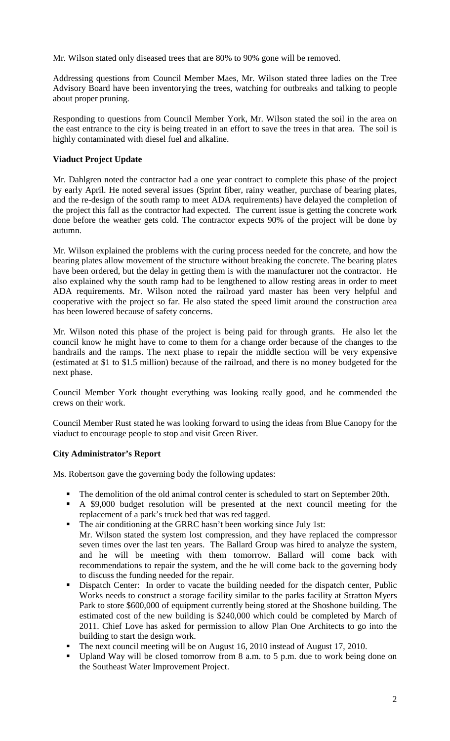Mr. Wilson stated only diseased trees that are 80% to 90% gone will be removed.

Addressing questions from Council Member Maes, Mr. Wilson stated three ladies on the Tree Advisory Board have been inventorying the trees, watching for outbreaks and talking to people about proper pruning.

Responding to questions from Council Member York, Mr. Wilson stated the soil in the area on the east entrance to the city is being treated in an effort to save the trees in that area. The soil is highly contaminated with diesel fuel and alkaline.

# **Viaduct Project Update**

Mr. Dahlgren noted the contractor had a one year contract to complete this phase of the project by early April. He noted several issues (Sprint fiber, rainy weather, purchase of bearing plates, and the re-design of the south ramp to meet ADA requirements) have delayed the completion of the project this fall as the contractor had expected. The current issue is getting the concrete work done before the weather gets cold. The contractor expects 90% of the project will be done by autumn.

Mr. Wilson explained the problems with the curing process needed for the concrete, and how the bearing plates allow movement of the structure without breaking the concrete. The bearing plates have been ordered, but the delay in getting them is with the manufacturer not the contractor. He also explained why the south ramp had to be lengthened to allow resting areas in order to meet ADA requirements. Mr. Wilson noted the railroad yard master has been very helpful and cooperative with the project so far. He also stated the speed limit around the construction area has been lowered because of safety concerns.

Mr. Wilson noted this phase of the project is being paid for through grants. He also let the council know he might have to come to them for a change order because of the changes to the handrails and the ramps. The next phase to repair the middle section will be very expensive (estimated at \$1 to \$1.5 million) because of the railroad, and there is no money budgeted for the next phase.

Council Member York thought everything was looking really good, and he commended the crews on their work.

Council Member Rust stated he was looking forward to using the ideas from Blue Canopy for the viaduct to encourage people to stop and visit Green River.

#### **City Administrator's Report**

Ms. Robertson gave the governing body the following updates:

- The demolition of the old animal control center is scheduled to start on September 20th.
- A \$9,000 budget resolution will be presented at the next council meeting for the replacement of a park's truck bed that was red tagged.
- The air conditioning at the GRRC hasn't been working since July 1st: Mr. Wilson stated the system lost compression, and they have replaced the compressor seven times over the last ten years. The Ballard Group was hired to analyze the system, and he will be meeting with them tomorrow. Ballard will come back with recommendations to repair the system, and the he will come back to the governing body to discuss the funding needed for the repair.
- Dispatch Center: In order to vacate the building needed for the dispatch center, Public Works needs to construct a storage facility similar to the parks facility at Stratton Myers Park to store \$600,000 of equipment currently being stored at the Shoshone building. The estimated cost of the new building is \$240,000 which could be completed by March of 2011. Chief Love has asked for permission to allow Plan One Architects to go into the building to start the design work.
- The next council meeting will be on August 16, 2010 instead of August 17, 2010.
- Upland Way will be closed tomorrow from 8 a.m. to 5 p.m. due to work being done on the Southeast Water Improvement Project.